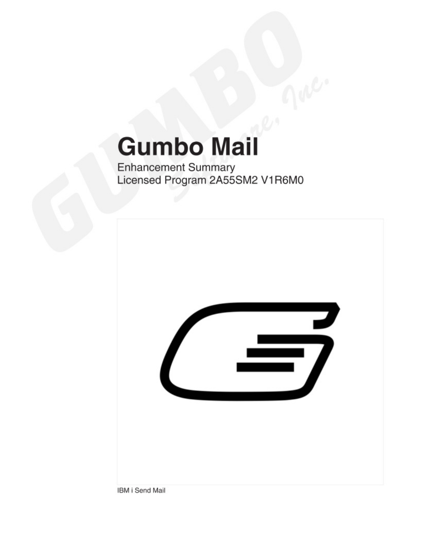# **Gumbo Mail**

**Enhancement Summary** Licensed Program 2A55SM2 V1R6M0



IBM i Send Mail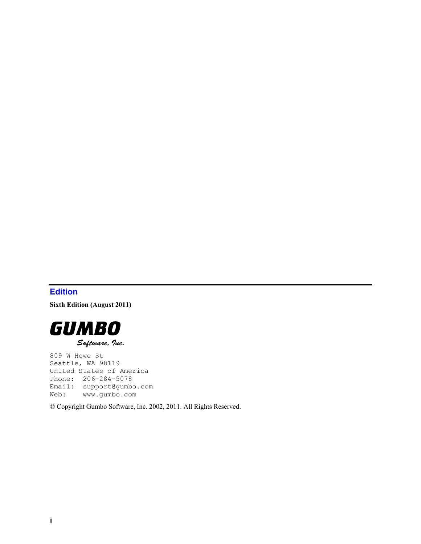# <span id="page-1-0"></span>**Edition**

**Sixth Edition (August 2011)** 



809 W Howe St Seattle, WA 98119 United States of America Phone: 206-284-5078 Email: support@gumbo.com Web: www.gumbo.com

© Copyright Gumbo Software, Inc. 2002, 2011. All Rights Reserved.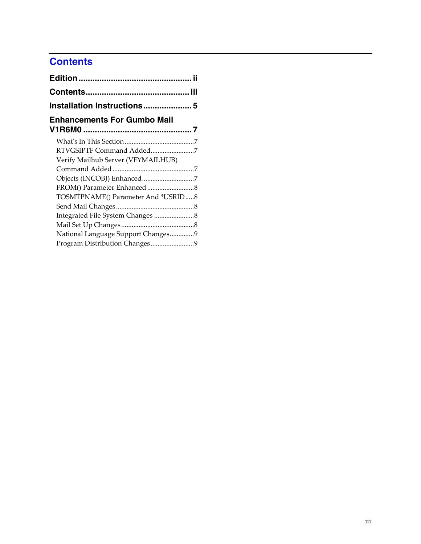# <span id="page-2-0"></span>**Contents**

| Installation Instructions 5        |  |
|------------------------------------|--|
| <b>Enhancements For Gumbo Mail</b> |  |
|                                    |  |
| RTVGSIPTF Command Added7           |  |
| Verify Mailhub Server (VFYMAILHUB) |  |
|                                    |  |
| Objects (INCOBJ) Enhanced7         |  |
|                                    |  |
| TOSMTPNAME() Parameter And *USRID8 |  |
|                                    |  |
|                                    |  |
|                                    |  |
| National Language Support Changes9 |  |
|                                    |  |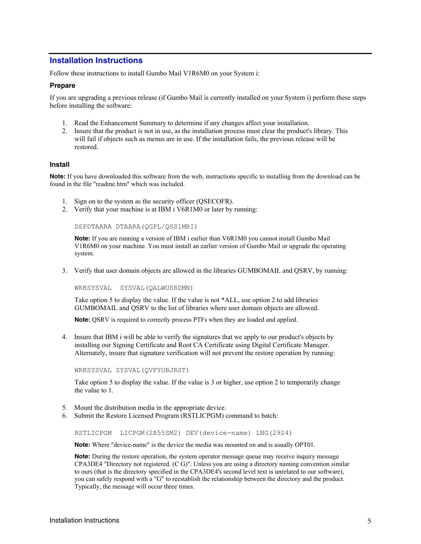# <span id="page-4-0"></span>**Installation Instructions**

Follow these instructions to install Gumbo Mail V1R6M0 on your System i:

#### **Prepare**

If you are upgrading a previous release (if Gumbo Mail is currently installed on your System i) perform these steps before installing the software:

- 1. Read the Enhancement Summary to determine if any changes affect your installation.
- 2. Insure that the product is not in use, as the installation process must clear the product's library. This will fail if objects such as menus are in use. If the installation fails, the previous release will be restored.

#### **Install**

**Note:** If you have downloaded this software from the web, instructions specific to installing from the download can be found in the file "readme.htm" which was included.

- 1. Sign on to the system as the security officer (QSECOFR).
- 2. Verify that your machine is at IBM i V6R1M0 or later by running:

DSPDTAARA DTAARA(QGPL/QSS1MRI)

**Note:** If you are running a version of IBM i earlier than V6R1M0 you cannot install Gumbo Mail V1R6M0 on your machine. You must install an earlier version of Gumbo Mail or upgrade the operating system.

3. Verify that user domain objects are allowed in the libraries GUMBOMAIL and QSRV, by running:

WRKSYSVAL SYSVAL(QALWUSRDMN)

Take option 5 to display the value. If the value is not \*ALL, use option 2 to add libraries GUMBOMAIL and QSRV to the list of libraries where user domain objects are allowed.

**Note:** QSRV is required to correctly process PTFs when they are loaded and applied.

4. Insure that IBM i will be able to verify the signatures that we apply to our product's objects by installing our Signing Certificate and Root CA Certificate using Digital Certificate Manager. Alternately, insure that signature verification will not prevent the restore operation by running:

WRKSYSVAL SYSVAL(QVFYOBJRST)

Take option 5 to display the value. If the value is 3 or higher, use option 2 to temporarily change the value to 1.

- 5. Mount the distribution media in the appropriate device.
- 6. Submit the Restore Licensed Program (RSTLICPGM) command to batch:

RSTLICPGM LICPGM(2A55SM2) DEV(device-name) LNG(2924)

**Note:** Where "device-name" is the device the media was mounted on and is usually OPT01.

**Note:** During the restore operation, the system operator message queue may receive inquiry message CPA3DE4 "Directory not registered. (C G)". Unless you are using a directory naming convention similar to ours (that is the directory specified in the CPA3DE4's second level text is unrelated to our software), you can safely respond with a "G" to reestablish the relationship between the directory and the product. Typically, the message will occur three times.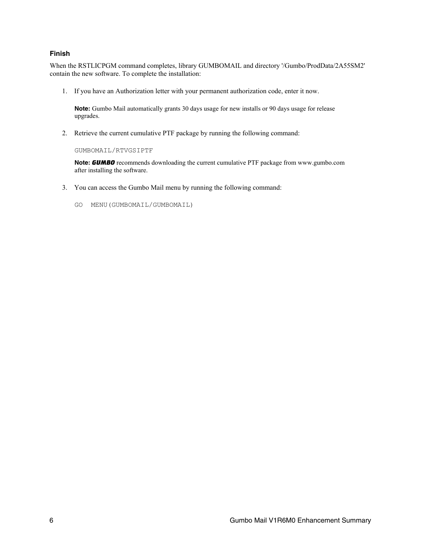#### **Finish**

When the RSTLICPGM command completes, library GUMBOMAIL and directory '/Gumbo/ProdData/2A55SM2' contain the new software. To complete the installation:

1. If you have an Authorization letter with your permanent authorization code, enter it now.

**Note:** Gumbo Mail automatically grants 30 days usage for new installs or 90 days usage for release upgrades.

2. Retrieve the current cumulative PTF package by running the following command:

GUMBOMAIL/RTVGSIPTF

**Note:** *GUMBO* recommends downloading the current cumulative PTF package from www.gumbo.com after installing the software.

- 3. You can access the Gumbo Mail menu by running the following command:
	- GO MENU(GUMBOMAIL/GUMBOMAIL)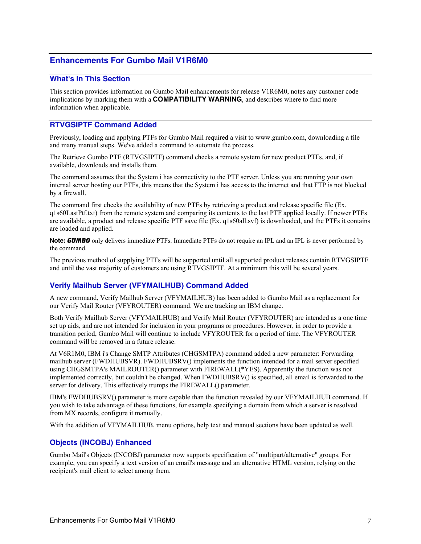# <span id="page-6-0"></span>**Enhancements For Gumbo Mail V1R6M0**

#### <span id="page-6-1"></span>**What's In This Section**

This section provides information on Gumbo Mail enhancements for release V1R6M0, notes any customer code implications by marking them with a **COMPATIBILITY WARNING**, and describes where to find more information when applicable.

# <span id="page-6-2"></span>**RTVGSIPTF Command Added**

Previously, loading and applying PTFs for Gumbo Mail required a visit to www.gumbo.com, downloading a file and many manual steps. We've added a command to automate the process.

The Retrieve Gumbo PTF (RTVGSIPTF) command checks a remote system for new product PTFs, and, if available, downloads and installs them.

The command assumes that the System i has connectivity to the PTF server. Unless you are running your own internal server hosting our PTFs, this means that the System i has access to the internet and that FTP is not blocked by a firewall.

The command first checks the availability of new PTFs by retrieving a product and release specific file (Ex. q1s60LastPtf.txt) from the remote system and comparing its contents to the last PTF applied locally. If newer PTFs are available, a product and release specific PTF save file (Ex. q1s60all.svf) is downloaded, and the PTFs it contains are loaded and applied.

**Note:** *GUMBO* only delivers immediate PTFs. Immediate PTFs do not require an IPL and an IPL is never performed by the command.

The previous method of supplying PTFs will be supported until all supported product releases contain RTVGSIPTF and until the vast majority of customers are using RTVGSIPTF. At a minimum this will be several years.

#### <span id="page-6-3"></span>**Verify Mailhub Server (VFYMAILHUB) Command Added**

A new command, Verify Mailhub Server (VFYMAILHUB) has been added to Gumbo Mail as a replacement for our Verify Mail Router (VFYROUTER) command. We are tracking an IBM change.

Both Verify Mailhub Server (VFYMAILHUB) and Verify Mail Router (VFYROUTER) are intended as a one time set up aids, and are not intended for inclusion in your programs or procedures. However, in order to provide a transition period, Gumbo Mail will continue to include VFYROUTER for a period of time. The VFYROUTER command will be removed in a future release.

At V6R1M0, IBM i's Change SMTP Attributes (CHGSMTPA) command added a new parameter: Forwarding mailhub server (FWDHUBSVR). FWDHUBSRV() implements the function intended for a mail server specified using CHGSMTPA's MAILROUTER() parameter with FIREWALL(\*YES). Apparently the function was not implemented correctly, but couldn't be changed. When FWDHUBSRV() is specified, all email is forwarded to the server for delivery. This effectively trumps the FIREWALL() parameter.

IBM's FWDHUBSRV() parameter is more capable than the function revealed by our VFYMAILHUB command. If you wish to take advantage of these functions, for example specifying a domain from which a server is resolved from MX records, configure it manually.

With the addition of VFYMAILHUB, menu options, help text and manual sections have been updated as well.

#### <span id="page-6-4"></span>**Objects (INCOBJ) Enhanced**

Gumbo Mail's Objects (INCOBJ) parameter now supports specification of "multipart/alternative" groups. For example, you can specify a text version of an email's message and an alternative HTML version, relying on the recipient's mail client to select among them.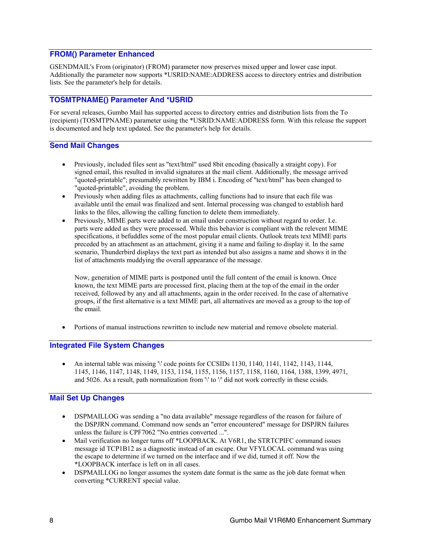### <span id="page-7-0"></span>**FROM() Parameter Enhanced**

GSENDMAIL's From (originator) (FROM) parameter now preserves mixed upper and lower case input. Additionally the parameter now supports \*USRID:NAME:ADDRESS access to directory entries and distribution lists. See the parameter's help for details.

# <span id="page-7-1"></span>**TOSMTPNAME() Parameter And \*USRID**

For several releases, Gumbo Mail has supported access to directory entries and distribution lists from the To (recipient) (TOSMTPNAME) parameter using the \*USRID:NAME:ADDRESS form. With this release the support is documented and help text updated. See the parameter's help for details.

# <span id="page-7-2"></span>**Send Mail Changes**

- Previously, included files sent as "text/html" used 8bit encoding (basically a straight copy). For signed email, this resulted in invalid signatures at the mail client. Additionally, the message arrived "quoted-printable"; presumably rewritten by IBM i. Encoding of "text/html" has been changed to "quoted-printable", avoiding the problem.
- Previously when adding files as attachments, calling functions had to insure that each file was available until the email was finalized and sent. Internal processing was changed to establish hard links to the files, allowing the calling function to delete them immediately.
- Previously, MIME parts were added to an email under construction without regard to order. I.e. parts were added as they were processed. While this behavior is compliant with the relevent MIME specifications, it befuddles some of the most popular email clients. Outlook treats text MIME parts preceded by an attachment as an attachment, giving it a name and failing to display it. In the same scenario, Thunderbird displays the text part as intended but also assigns a name and shows it in the list of attachments muddying the overall appearance of the message.

Now, generation of MIME parts is postponed until the full content of the email is known. Once known, the text MIME parts are processed first, placing them at the top of the email in the order received, followed by any and all attachments, again in the order received. In the case of alternative groups, if the first alternative is a text MIME part, all alternatives are moved as a group to the top of the email.

Portions of manual instructions rewritten to include new material and remove obsolete material.

#### <span id="page-7-3"></span>**Integrated File System Changes**

An internal table was missing '\' code points for CCSIDs 1130, 1140, 1141, 1142, 1143, 1144, 1145, 1146, 1147, 1148, 1149, 1153, 1154, 1155, 1156, 1157, 1158, 1160, 1164, 1388, 1399, 4971, and 5026. As a result, path normalization from  $\%$  to  $\%$  did not work correctly in these ccsids.

#### <span id="page-7-4"></span>**Mail Set Up Changes**

- DSPMAILLOG was sending a "no data available" message regardless of the reason for failure of the DSPJRN command. Command now sends an "error encountered" message for DSPJRN failures unless the failure is CPF7062 "No entries converted ...".
- Mail verification no longer turns off \*LOOPBACK. At V6R1, the STRTCPIFC command issues message id TCP1B12 as a diagnostic instead of an escape. Our VFYLOCAL command was using the escape to determine if we turned on the interface and if we did, turned it off. Now the \*LOOPBACK interface is left on in all cases.
- DSPMAILLOG no longer assumes the system date format is the same as the job date format when converting \*CURRENT special value.